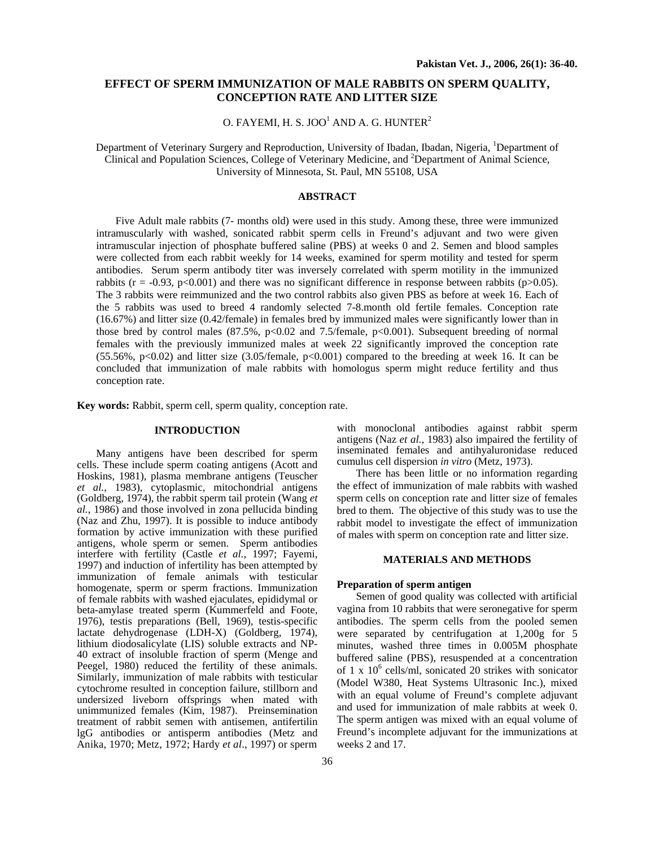# **EFFECT OF SPERM IMMUNIZATION OF MALE RABBITS ON SPERM QUALITY, CONCEPTION RATE AND LITTER SIZE**

# O. FAYEMI, H. S. JOO<sup>1</sup> AND A. G. HUNTER<sup>2</sup>

Department of Veterinary Surgery and Reproduction, University of Ibadan, Ibadan, Nigeria, <sup>1</sup>Department of Clinical and Population Sciences, College of Veterinary Medicine, and <sup>2</sup>Department of Animal Science, University of Minnesota, St. Paul, MN 55108, USA

# **ABSTRACT**

Five Adult male rabbits (7- months old) were used in this study. Among these, three were immunized intramuscularly with washed, sonicated rabbit sperm cells in Freund's adjuvant and two were given intramuscular injection of phosphate buffered saline (PBS) at weeks 0 and 2. Semen and blood samples were collected from each rabbit weekly for 14 weeks, examined for sperm motility and tested for sperm antibodies. Serum sperm antibody titer was inversely correlated with sperm motility in the immunized rabbits ( $r = -0.93$ ,  $p < 0.001$ ) and there was no significant difference in response between rabbits ( $p > 0.05$ ). The 3 rabbits were reimmunized and the two control rabbits also given PBS as before at week 16. Each of the 5 rabbits was used to breed 4 randomly selected 7-8.month old fertile females. Conception rate (16.67%) and litter size (0.42/female) in females bred by immunized males were significantly lower than in those bred by control males  $(87.5\%, p<0.02$  and 7.5/female,  $p<0.001$ ). Subsequent breeding of normal females with the previously immunized males at week 22 significantly improved the conception rate (55.56%, p<0.02) and litter size (3.05/female, p<0.001) compared to the breeding at week 16. It can be concluded that immunization of male rabbits with homologus sperm might reduce fertility and thus conception rate.

**Key words:** Rabbit, sperm cell, sperm quality, conception rate.

# **INTRODUCTION**

Many antigens have been described for sperm cells. These include sperm coating antigens (Acott and Hoskins, 1981), plasma membrane antigens (Teuscher *et al.*, 1983), cytoplasmic, mitochondrial antigens (Goldberg, 1974), the rabbit sperm tail protein (Wang *et al.*, 1986) and those involved in zona pellucida binding (Naz and Zhu, 1997). It is possible to induce antibody formation by active immunization with these purified antigens, whole sperm or semen. Sperm antibodies interfere with fertility (Castle *et al.,* 1997; Fayemi, 1997) and induction of infertility has been attempted by immunization of female animals with testicular homogenate, sperm or sperm fractions. Immunization of female rabbits with washed ejaculates, epididymal or beta-amylase treated sperm (Kummerfeld and Foote, 1976), testis preparations (Bell, 1969), testis-specific lactate dehydrogenase (LDH-X) (Goldberg, 1974), lithium diodosalicylate (LIS) soluble extracts and NP-40 extract of insoluble fraction of sperm (Menge and Peegel, 1980) reduced the fertility of these animals. Similarly, immunization of male rabbits with testicular cytochrome resulted in conception failure, stillborn and undersized liveborn offsprings when mated with unimmunized females (Kim, 1987). Preinsemination treatment of rabbit semen with antisemen, antifertilin lgG antibodies or antisperm antibodies (Metz and Anika, 1970; Metz, 1972; Hardy *et al*., 1997) or sperm

with monoclonal antibodies against rabbit sperm antigens (Naz *et al.*, 1983) also impaired the fertility of inseminated females and antihyaluronidase reduced cumulus cell dispersion *in vitro* (Metz, 1973).

There has been little or no information regarding the effect of immunization of male rabbits with washed sperm cells on conception rate and litter size of females bred to them. The objective of this study was to use the rabbit model to investigate the effect of immunization of males with sperm on conception rate and litter size.

# **MATERIALS AND METHODS**

#### **Preparation of sperm antigen**

Semen of good quality was collected with artificial vagina from 10 rabbits that were seronegative for sperm antibodies. The sperm cells from the pooled semen were separated by centrifugation at 1,200g for 5 minutes, washed three times in 0.005M phosphate buffered saline (PBS), resuspended at a concentration of 1 x 10<sup>6</sup> cells/ml, sonicated 20 strikes with sonicator (Model W380, Heat Systems Ultrasonic Inc.), mixed with an equal volume of Freund's complete adjuvant and used for immunization of male rabbits at week 0. The sperm antigen was mixed with an equal volume of Freund's incomplete adjuvant for the immunizations at weeks 2 and 17.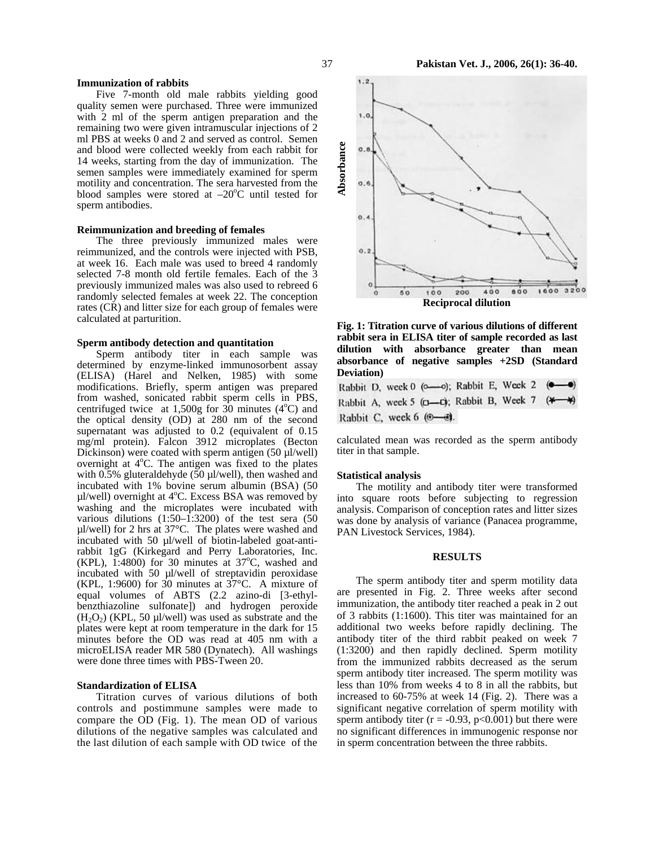## **Immunization of rabbits**

Five 7-month old male rabbits yielding good quality semen were purchased. Three were immunized with 2 ml of the sperm antigen preparation and the remaining two were given intramuscular injections of 2 ml PBS at weeks 0 and 2 and served as control. Semen and blood were collected weekly from each rabbit for 14 weeks, starting from the day of immunization. The semen samples were immediately examined for sperm motility and concentration. The sera harvested from the blood samples were stored at  $-20^{\circ}$ C until tested for sperm antibodies.

## **Reimmunization and breeding of females**

The three previously immunized males were reimmunized, and the controls were injected with PSB, at week 16. Each male was used to breed 4 randomly selected 7-8 month old fertile females. Each of the 3 previously immunized males was also used to rebreed 6 randomly selected females at week 22. The conception rates (CR) and litter size for each group of females were calculated at parturition.

### **Sperm antibody detection and quantitation**

Sperm antibody titer in each sample was determined by enzyme-linked immunosorbent assay (ELISA) (Harel and Nelken, 1985) with some modifications. Briefly, sperm antigen was prepared from washed, sonicated rabbit sperm cells in PBS, centrifuged twice at 1,500g for  $30$  minutes (4 $\degree$ C) and the optical density (OD) at 280 nm of the second supernatant was adjusted to 0.2 (equivalent of 0.15 mg/ml protein). Falcon 3912 microplates (Becton Dickinson) were coated with sperm antigen  $(50 \mu$ l/well) overnight at 4°C. The antigen was fixed to the plates with 0.5% gluteraldehyde (50  $\mu$ l/well), then washed and incubated with 1% bovine serum albumin (BSA) (50 µl/well) overnight at 4°C. Excess BSA was removed by washing and the microplates were incubated with various dilutions  $(1:50-1:3200)$  of the test sera  $(50)$ µl/well) for 2 hrs at 37°C. The plates were washed and incubated with 50 µl/well of biotin-labeled goat-antirabbit 1gG (Kirkegard and Perry Laboratories, Inc. (KPL),  $1:4800$ ) for 30 minutes at 37°C, washed and incubated with 50 µl/well of streptavidin peroxidase (KPL, 1:9600) for 30 minutes at  $37^{\circ}$ C. A mixture of equal volumes of ABTS (2.2 azino-di [3-ethylbenzthiazoline sulfonate]) and hydrogen peroxide  $(H<sub>2</sub>O<sub>2</sub>)$  (KPL, 50 µl/well) was used as substrate and the plates were kept at room temperature in the dark for 15 minutes before the OD was read at 405 nm with a microELISA reader MR 580 (Dynatech). All washings were done three times with PBS-Tween 20.

#### **Standardization of ELISA**

Titration curves of various dilutions of both controls and postimmune samples were made to compare the OD (Fig. 1). The mean OD of various dilutions of the negative samples was calculated and the last dilution of each sample with OD twice of the



**Fig. 1: Titration curve of various dilutions of different rabbit sera in ELISA titer of sample recorded as last dilution with absorbance greater than mean absorbance of negative samples +2SD (Standard Deviation)** 

Rabbit D, week 0 ( $\infty$ ); Rabbit E, Week 2 Rabbit A, week 5 (p-p); Rabbit B, Week 7 (\* Rabbit C, week 6 (®-0).

calculated mean was recorded as the sperm antibody titer in that sample.

#### **Statistical analysis**

The motility and antibody titer were transformed into square roots before subjecting to regression analysis. Comparison of conception rates and litter sizes was done by analysis of variance (Panacea programme, PAN Livestock Services, 1984).

#### **RESULTS**

The sperm antibody titer and sperm motility data are presented in Fig. 2. Three weeks after second immunization, the antibody titer reached a peak in 2 out of 3 rabbits (1:1600). This titer was maintained for an additional two weeks before rapidly declining. The antibody titer of the third rabbit peaked on week 7 (1:3200) and then rapidly declined. Sperm motility from the immunized rabbits decreased as the serum sperm antibody titer increased. The sperm motility was less than 10% from weeks 4 to 8 in all the rabbits, but increased to 60-75% at week 14 (Fig. 2). There was a significant negative correlation of sperm motility with sperm antibody titer ( $r = -0.93$ ,  $p < 0.001$ ) but there were no significant differences in immunogenic response nor in sperm concentration between the three rabbits.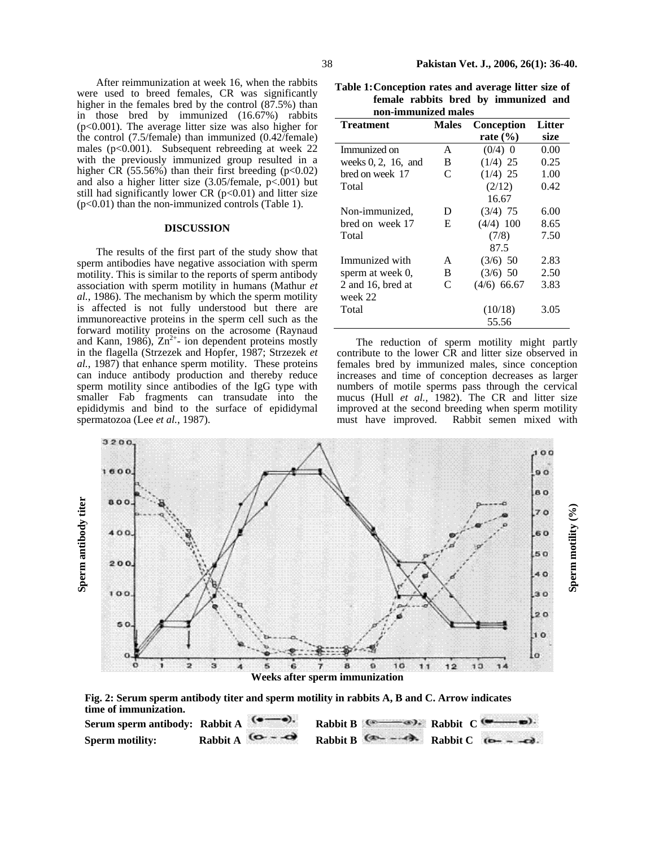After reimmunization at week 16, when the rabbits were used to breed females, CR was significantly higher in the females bred by the control  $(87.5%)$  than in those bred by immunized (16.67%) rabbits (p<0.001). The average litter size was also higher for the control (7.5/female) than immunized (0.42/female) males ( $p<0.001$ ). Subsequent rebreeding at week 22 with the previously immunized group resulted in a higher CR  $(55.56%)$  than their first breeding (p<0.02) and also a higher litter size  $(3.05/\text{female}, p<.001)$  but still had significantly lower CR  $(p<0.01)$  and litter size (p<0.01) than the non-immunized controls (Table 1).

#### **DISCUSSION**

The results of the first part of the study show that sperm antibodies have negative association with sperm motility. This is similar to the reports of sperm antibody association with sperm motility in humans (Mathur *et al.*, 1986). The mechanism by which the sperm motility is affected is not fully understood but there are immunoreactive proteins in the sperm cell such as the forward motility proteins on the acrosome (Raynaud and Kann, 1986),  $Zn^{2+}$ - ion dependent proteins mostly in the flagella (Strzezek and Hopfer, 1987; Strzezek *et al.*, 1987) that enhance sperm motility. These proteins can induce antibody production and thereby reduce sperm motility since antibodies of the IgG type with smaller Fab fragments can transudate into the epididymis and bind to the surface of epididymal spermatozoa (Lee *et al.*, 1987).

**Table 1:Conception rates and average litter size of female rabbits bred by immunized and non-immunized males**

| Treatment              | <b>Males</b> | <b>Conception</b> | Litter |
|------------------------|--------------|-------------------|--------|
|                        |              | rate $(\% )$      | size   |
| Immunized on           | A            | $(0/4)$ 0         | 0.00   |
| weeks $0, 2, 16$ , and | B            | $(1/4)$ 25        | 0.25   |
| bred on week 17        | C            | $(1/4)$ 25        | 1.00   |
| Total                  |              | (2/12)            | 0.42   |
|                        |              | 16.67             |        |
| Non-immunized,         | D            | $(3/4)$ 75        | 6.00   |
| bred on week 17        | E            | $(4/4)$ 100       | 8.65   |
| Total                  |              | (7/8)             | 7.50   |
|                        |              | 87.5              |        |
| Immunized with         | A            | $(3/6)$ 50        | 2.83   |
| sperm at week 0,       | B            | $(3/6)$ 50        | 2.50   |
| 2 and 16, bred at      | C            | $(4/6)$ 66.67     | 3.83   |
| week 22                |              |                   |        |
| Total                  |              | (10/18)           | 3.05   |
|                        |              | 55.56             |        |

The reduction of sperm motility might partly contribute to the lower CR and litter size observed in females bred by immunized males, since conception increases and time of conception decreases as larger numbers of motile sperms pass through the cervical mucus (Hull *et al.,* 1982). The CR and litter size improved at the second breeding when sperm motility must have improved. Rabbit semen mixed with





| Serum sperm antibody: Rabbit A |                                       |  | Rabbit B $($ Rabbit C $($ $)$               |
|--------------------------------|---------------------------------------|--|---------------------------------------------|
| <b>Sperm motility:</b>         | Rabbit A $\left( \bigcirc - \bigcirc$ |  | Rabbit B $(2)$ - $-2$ Rabbit C $(2)$ - $-2$ |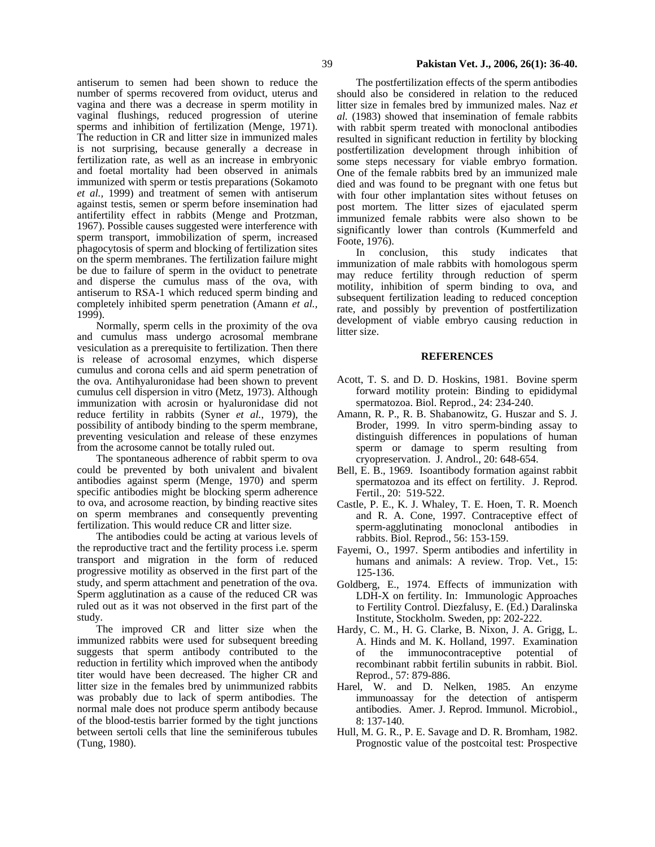antiserum to semen had been shown to reduce the number of sperms recovered from oviduct, uterus and vagina and there was a decrease in sperm motility in vaginal flushings, reduced progression of uterine sperms and inhibition of fertilization (Menge, 1971). The reduction in CR and litter size in immunized males is not surprising, because generally a decrease in fertilization rate, as well as an increase in embryonic and foetal mortality had been observed in animals immunized with sperm or testis preparations (Sokamoto *et al.,* 1999) and treatment of semen with antiserum against testis, semen or sperm before insemination had antifertility effect in rabbits (Menge and Protzman, 1967). Possible causes suggested were interference with sperm transport, immobilization of sperm, increased phagocytosis of sperm and blocking of fertilization sites on the sperm membranes. The fertilization failure might be due to failure of sperm in the oviduct to penetrate and disperse the cumulus mass of the ova, with antiserum to RSA-1 which reduced sperm binding and completely inhibited sperm penetration (Amann *et al.,* 1999).

Normally, sperm cells in the proximity of the ova and cumulus mass undergo acrosomal membrane vesiculation as a prerequisite to fertilization. Then there is release of acrosomal enzymes, which disperse cumulus and corona cells and aid sperm penetration of the ova. Antihyaluronidase had been shown to prevent cumulus cell dispersion in vitro (Metz, 1973). Although immunization with acrosin or hyaluronidase did not reduce fertility in rabbits (Syner *et al.*, 1979), the possibility of antibody binding to the sperm membrane, preventing vesiculation and release of these enzymes from the acrosome cannot be totally ruled out.

The spontaneous adherence of rabbit sperm to ova could be prevented by both univalent and bivalent antibodies against sperm (Menge, 1970) and sperm specific antibodies might be blocking sperm adherence to ova, and acrosome reaction, by binding reactive sites on sperm membranes and consequently preventing fertilization. This would reduce CR and litter size.

The antibodies could be acting at various levels of the reproductive tract and the fertility process i.e. sperm transport and migration in the form of reduced progressive motility as observed in the first part of the study, and sperm attachment and penetration of the ova. Sperm agglutination as a cause of the reduced CR was ruled out as it was not observed in the first part of the study.

The improved CR and litter size when the immunized rabbits were used for subsequent breeding suggests that sperm antibody contributed to the reduction in fertility which improved when the antibody titer would have been decreased. The higher CR and litter size in the females bred by unimmunized rabbits was probably due to lack of sperm antibodies. The normal male does not produce sperm antibody because of the blood-testis barrier formed by the tight junctions between sertoli cells that line the seminiferous tubules (Tung, 1980).

The postfertilization effects of the sperm antibodies should also be considered in relation to the reduced litter size in females bred by immunized males. Naz *et al.* (1983) showed that insemination of female rabbits with rabbit sperm treated with monoclonal antibodies resulted in significant reduction in fertility by blocking postfertilization development through inhibition of some steps necessary for viable embryo formation. One of the female rabbits bred by an immunized male died and was found to be pregnant with one fetus but with four other implantation sites without fetuses on post mortem. The litter sizes of ejaculated sperm immunized female rabbits were also shown to be significantly lower than controls (Kummerfeld and Foote, 1976).

In conclusion, this study indicates that immunization of male rabbits with homologous sperm may reduce fertility through reduction of sperm motility, inhibition of sperm binding to ova, and subsequent fertilization leading to reduced conception rate, and possibly by prevention of postfertilization development of viable embryo causing reduction in litter size.

## **REFERENCES**

- Acott, T. S. and D. D. Hoskins, 1981. Bovine sperm forward motility protein: Binding to epididymal spermatozoa. Biol. Reprod., 24: 234-240.
- Amann, R. P., R. B. Shabanowitz, G. Huszar and S. J. Broder, 1999. In vitro sperm-binding assay to distinguish differences in populations of human sperm or damage to sperm resulting from cryopreservation. J. Androl., 20: 648-654.
- Bell, E. B., 1969. Isoantibody formation against rabbit spermatozoa and its effect on fertility. J. Reprod. Fertil., 20: 519-522.
- Castle, P. E., K. J. Whaley, T. E. Hoen, T. R. Moench and R. A. Cone, 1997. Contraceptive effect of sperm-agglutinating monoclonal antibodies in rabbits. Biol. Reprod., 56: 153-159.
- Fayemi, O., 1997. Sperm antibodies and infertility in humans and animals: A review. Trop. Vet., 15: 125-136.
- Goldberg, E., 1974. Effects of immunization with LDH-X on fertility. In: Immunologic Approaches to Fertility Control. Diezfalusy, E. (Ed.) Daralinska Institute, Stockholm. Sweden, pp: 202-222.
- Hardy, C. M., H. G. Clarke, B. Nixon, J. A. Grigg, L. A. Hinds and M. K. Holland, 1997. Examination of the immunocontraceptive potential of recombinant rabbit fertilin subunits in rabbit. Biol. Reprod., 57: 879-886.
- Harel, W. and D. Nelken, 1985. An enzyme immunoassay for the detection of antisperm antibodies. Amer. J. Reprod. Immunol. Microbiol., 8: 137-140.
- Hull, M. G. R., P. E. Savage and D. R. Bromham, 1982. Prognostic value of the postcoital test: Prospective